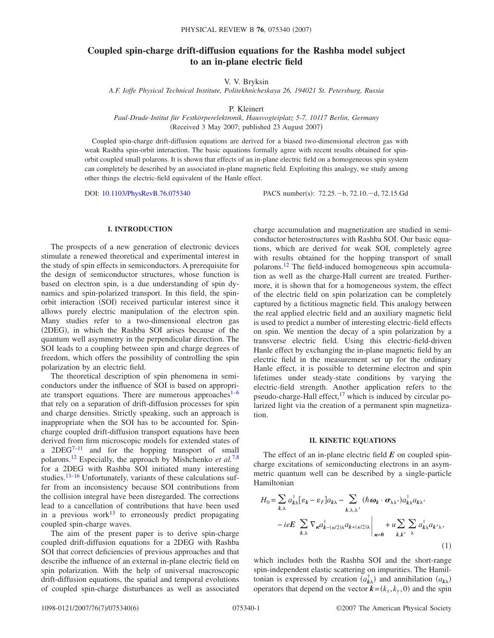# **Coupled spin-charge drift-diffusion equations for the Rashba model subject to an in-plane electric field**

V. V. Bryksin

*A.F. Ioffe Physical Technical Institute, Politekhnicheskaya 26, 194021 St. Petersburg, Russia*

P. Kleinert

*Paul-Drude-Intitut für Festkörperelektronik, Hausvogteiplatz 5-7, 10117 Berlin, Germany* (Received 3 May 2007; published 23 August 2007)

Coupled spin-charge drift-diffusion equations are derived for a biased two-dimensional electron gas with weak Rashba spin-orbit interaction. The basic equations formally agree with recent results obtained for spinorbit coupled small polarons. It is shown that effects of an in-plane electric field on a homogeneous spin system can completely be described by an associated in-plane magnetic field. Exploiting this analogy, we study among other things the electric-field equivalent of the Hanle effect.

DOI: [10.1103/PhysRevB.76.075340](http://dx.doi.org/10.1103/PhysRevB.76.075340)

PACS number(s):  $72.25.-b$ ,  $72.10.-d$ ,  $72.15.Gd$ 

### **I. INTRODUCTION**

The prospects of a new generation of electronic devices stimulate a renewed theoretical and experimental interest in the study of spin effects in semiconductors. A prerequisite for the design of semiconductor structures, whose function is based on electron spin, is a due understanding of spin dynamics and spin-polarized transport. In this field, the spinorbit interaction (SOI) received particular interest since it allows purely electric manipulation of the electron spin. Many studies refer to a two-dimensional electron gas (2DEG), in which the Rashba SOI arises because of the quantum well asymmetry in the perpendicular direction. The SOI leads to a coupling between spin and charge degrees of freedom, which offers the possibility of controlling the spin polarization by an electric field.

The theoretical description of spin phenomena in semiconductors under the influence of SOI is based on appropriate transport equations. There are numerous approaches $1-6$  $1-6$ that rely on a separation of drift-diffusion processes for spin and charge densities. Strictly speaking, such an approach is inappropriate when the SOI has to be accounted for. Spincharge coupled drift-diffusion transport equations have been derived from firm microscopic models for extended states of a  $2DEG^{7-11}$  $2DEG^{7-11}$  $2DEG^{7-11}$  and for the hopping transport of small polarons[.12](#page-4-4) Especially, the approach by Mishchenko *et al.*[7](#page-4-2)[,8](#page-4-5) for a 2DEG with Rashba SOI initiated many interesting studies.<sup>13-16</sup> Unfortunately, variants of these calculations suffer from an inconsistency because SOI contributions from the collision integral have been disregarded. The corrections lead to a cancellation of contributions that have been used in a previous work<sup>13</sup> to erroneously predict propagating coupled spin-charge waves.

The aim of the present paper is to derive spin-charge coupled drift-diffusion equations for a 2DEG with Rashba SOI that correct deficiencies of previous approaches and that describe the influence of an external in-plane electric field on spin polarization. With the help of universal macroscopic drift-diffusion equations, the spatial and temporal evolutions of coupled spin-charge disturbances as well as associated charge accumulation and magnetization are studied in semiconductor heterostructures with Rashba SOI. Our basic equations, which are derived for weak SOI, completely agree with results obtained for the hopping transport of small polarons[.12](#page-4-4) The field-induced homogeneous spin accumulation as well as the charge-Hall current are treated. Furthermore, it is shown that for a homogeneous system, the effect of the electric field on spin polarization can be completely captured by a fictitious magnetic field. This analogy between the real applied electric field and an auxiliary magnetic field is used to predict a number of interesting electric-field effects on spin. We mention the decay of a spin polarization by a transverse electric field. Using this electric-field-driven Hanle effect by exchanging the in-plane magnetic field by an electric field in the measurement set up for the ordinary Hanle effect, it is possible to determine electron and spin lifetimes under steady-state conditions by varying the electric-field strength. Another application refers to the pseudo-charge-Hall effect, $^{17}$  which is induced by circular polarized light via the creation of a permanent spin magnetization.

#### **II. KINETIC EQUATIONS**

The effect of an in-plane electric field *E* on coupled spincharge excitations of semiconducting electrons in an asymmetric quantum well can be described by a single-particle Hamiltonian

$$
H_0 = \sum_{k,\lambda} a_{k\lambda}^\dagger [\varepsilon_k - \varepsilon_F] a_{k\lambda} - \sum_{k,\lambda,\lambda'} (\hbar \omega_k \cdot \sigma_{\lambda \lambda'}) a_{k\lambda}^\dagger a_{k\lambda'} - ieE \sum_{k,\lambda} \nabla_{\kappa} a_{k-(\kappa/2)\lambda}^\dagger a_{k+(\kappa/2)\lambda} \Big|_{\kappa=0} + u \sum_{k,k'} \sum_{\lambda} a_{k\lambda}^\dagger a_{k'\lambda},
$$
\n(1)

which includes both the Rashba SOI and the short-range spin-independent elastic scattering on impurities. The Hamiltonian is expressed by creation  $(a_{k\lambda}^{\dagger})$  and annihilation  $(a_{k\lambda})$ operators that depend on the vector  $\mathbf{k} = (k_x, k_y, 0)$  and the spin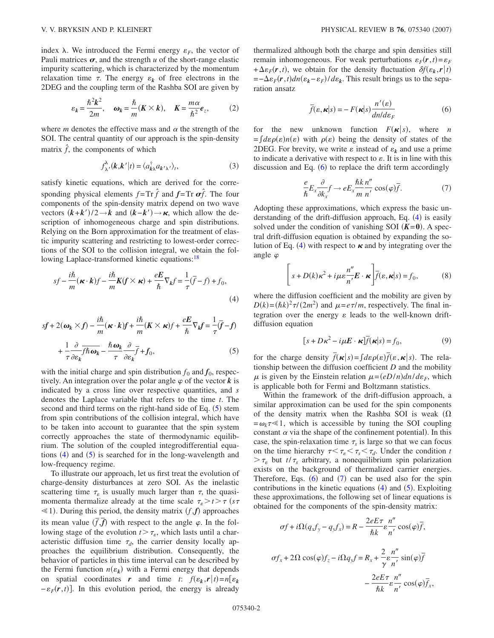index  $\lambda$ . We introduced the Fermi energy  $\varepsilon_F$ , the vector of Pauli matrices  $\sigma$ , and the strength  $u$  of the short-range elastic impurity scattering, which is characterized by the momentum relaxation time  $\tau$ . The energy  $\varepsilon_k$  of free electrons in the 2DEG and the coupling term of the Rashba SOI are given by

$$
\varepsilon_k = \frac{\hbar^2 k^2}{2m}, \quad \omega_k = \frac{\hbar}{m} (K \times k), \quad K = \frac{m\alpha}{\hbar^2} e_z, \tag{2}
$$

<span id="page-1-0"></span>where *m* denotes the effective mass and  $\alpha$  the strength of the SOI. The central quantity of our approach is the spin-density matrix  $\hat{f}$ , the components of which

$$
f^{\lambda}_{\lambda'}(\mathbf{k}, \mathbf{k}' | t) = \langle a^{\dagger}_{\mathbf{k}\lambda} a_{\mathbf{k}'\lambda'} \rangle_t,
$$
 (3)

satisfy kinetic equations, which are derived for the corresponding physical elements  $f = Tr \hat{f}$  and  $f = Tr \hat{f}$ . The four components of the spin-density matrix depend on two wave vectors  $(k+k')/2 \rightarrow k$  and  $(k-k') \rightarrow \kappa$ , which allow the description of inhomogeneous charge and spin distributions. Relying on the Born approximation for the treatment of elastic impurity scattering and restricting to lowest-order corrections of the SOI to the collision integral, we obtain the following Laplace-transformed kinetic equations:<sup>18</sup>

<span id="page-1-1"></span>
$$
sf - \frac{i\hbar}{m}(\kappa \cdot k)f - \frac{i\hbar}{m}K(f \times \kappa) + \frac{eE}{\hbar}\nabla_k f = \frac{1}{\tau}(\bar{f} - f) + f_0,
$$
\n(4)

$$
sf + 2(\omega_k \times f) - \frac{i\hbar}{m}(\kappa \cdot k)f + \frac{i\hbar}{m}(K \times \kappa)f + \frac{eE}{\hbar} \nabla_k f = \frac{1}{\tau}(\bar{f} - f)
$$

$$
+ \frac{1}{\tau} \frac{\partial}{\partial \varepsilon_k} \overline{f} \hbar \omega_k - \frac{\hbar \omega_k}{\tau} \frac{\partial}{\partial \varepsilon_k} \overline{f} + f_0,
$$
(5)

with the initial charge and spin distribution  $f_0$  and  $f_0$ , respectively. An integration over the polar angle  $\varphi$  of the vector  $k$  is indicated by a cross line over respective quantities, and *s* denotes the Laplace variable that refers to the time *t*. The second and third terms on the right-hand side of Eq.  $(5)$  $(5)$  $(5)$  stem from spin contributions of the collision integral, which have to be taken into account to guarantee that the spin system correctly approaches the state of thermodynamic equilibrium. The solution of the coupled integrodifferential equations  $(4)$  $(4)$  $(4)$  and  $(5)$  $(5)$  $(5)$  is searched for in the long-wavelength and low-frequency regime.

To illustrate our approach, let us first treat the evolution of charge-density disturbances at zero SOI. As the inelastic scattering time  $\tau_{\varepsilon}$  is usually much larger than  $\tau$ , the quasimomenta thermalize already at the time scale  $\tau_{\rm s}$  >  $t$  >  $\tau$  ( $s\tau$  $\leq 1$ ). During this period, the density matrix *(f,f)* approaches its mean value  $(\bar{f}, \bar{f})$  with respect to the angle  $\varphi$ . In the following stage of the evolution  $t > \tau_{\epsilon}$ , which lasts until a characteristic diffusion time  $\tau_d$ , the carrier density locally approaches the equilibrium distribution. Consequently, the behavior of particles in this time interval can be described by the Fermi function  $n(\varepsilon_k)$  with a Fermi energy that depends on spatial coordinates *r* and time *t*:  $f(\varepsilon_k, r|t) = n[\varepsilon_k]$  $- \varepsilon_F(r, t)$ . In this evolution period, the energy is already

thermalized although both the charge and spin densities still remain inhomogeneous. For weak perturbations  $\varepsilon_F(\mathbf{r}, t) = \varepsilon_F$  $f(x) + \Delta \varepsilon_F(\mathbf{r}, t)$ , we obtain for the density fluctuation  $\delta f(\varepsilon_k, \mathbf{r}|t)$  $=-\Delta\varepsilon_F(\mathbf{r},t)dn(\varepsilon_k-\varepsilon_F)/d\varepsilon_k$ . This result brings us to the separation ansatz

$$
\overline{f}(\varepsilon, \kappa | s) = -F(\kappa | s) \frac{n'(\varepsilon)}{dn/d\varepsilon_F}
$$
(6)

<span id="page-1-2"></span>for the new unknown function  $F(\mathbf{k}|s)$ , where *n*  $=f d\varepsilon \rho(\varepsilon) n(\varepsilon)$  with  $\rho(\varepsilon)$  being the density of states of the 2DEG. For brevity, we write  $\varepsilon$  instead of  $\varepsilon_k$  and use a prime to indicate a derivative with respect to  $\varepsilon$ . It is in line with this discussion and Eq.  $(6)$  $(6)$  $(6)$  to replace the drift term accordingly

$$
\frac{e}{\hbar}E_x \frac{\partial}{\partial k_x} f \to e E_x \frac{\hbar k}{m} \frac{n''}{n'} \cos(\varphi) \overline{f}.\tag{7}
$$

<span id="page-1-3"></span>Adopting these approximations, which express the basic un-derstanding of the drift-diffusion approach, Eq. ([4](#page-1-1)) is easily solved under the condition of vanishing SOI  $(K=0)$ . A spectral drift-diffusion equation is obtained by expanding the so-lution of Eq. ([4](#page-1-1)) with respect to  $\kappa$  and by integrating over the angle  $\varphi$ 

$$
\left[s + D(k)\kappa^2 + i\mu\varepsilon \frac{n''}{n'}E \cdot \kappa\right] \overline{f}(\varepsilon, \kappa|s) = f_0,\tag{8}
$$

where the diffusion coefficient and the mobility are given by  $D(k) = (\hbar k)^2 \tau / (2m^2)$  and  $\mu = e \tau / m$ , respectively. The final integration over the energy  $\varepsilon$  leads to the well-known driftdiffusion equation

$$
[s + D\kappa^2 - i\mu \mathbf{E} \cdot \mathbf{\kappa}] \bar{f}(\mathbf{\kappa}|s) = f_0,
$$
 (9)

for the charge density  $\bar{f}(\mathbf{k}|s) = \int d\varepsilon \rho(\varepsilon) \bar{f}(\varepsilon, \mathbf{k}|s)$ . The relationship between the diffusion coefficient *D* and the mobility  $\mu$  is given by the Einstein relation  $\mu = (eD/n)dn/d\varepsilon_F$ , which is applicable both for Fermi and Boltzmann statistics.

Within the framework of the drift-diffusion approach, a similar approximation can be used for the spin components of the density matrix when the Rashba SOI is weak  $(\Omega)$  $=\omega_k \tau \ll 1$ , which is accessible by tuning the SOI coupling constant  $\alpha$  via the shape of the confinement potential). In this case, the spin-relaxation time  $\tau_s$  is large so that we can focus on the time hierarchy  $\tau < \tau_{\varepsilon} < \tau_{\varepsilon} < \tau_d$ . Under the condition *t*  $>\tau_{\epsilon}$  but *t/* $\tau_{s}$  arbitrary, a nonequilibrium spin polarization exists on the background of thermalized carrier energies. Therefore, Eqs.  $(6)$  $(6)$  $(6)$  and  $(7)$  $(7)$  $(7)$  can be used also for the spin contributions in the kinetic equations  $(4)$  $(4)$  $(4)$  and  $(5)$  $(5)$  $(5)$ . Exploiting these approximations, the following set of linear equations is obtained for the components of the spin-density matrix:

$$
\sigma f + i\Omega (q_x f_y - q_y f_x) = R - \frac{2eE\tau}{\hbar k} \frac{n''}{n'} \cos(\varphi) \overline{f},
$$
  

$$
\sigma f_x + 2\Omega \cos(\varphi) f_z - i\Omega q_y f = R_x + \frac{2}{\gamma} \frac{n''}{n'} \sin(\varphi) \overline{f}
$$

$$
- \frac{2eE\tau}{\hbar k} \frac{n''}{n'} \cos(\varphi) \overline{f}_x,
$$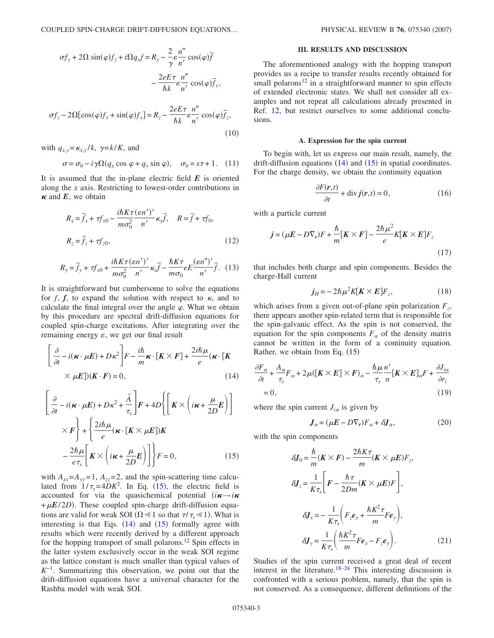$$
\sigma f_y + 2\Omega \sin(\varphi) f_z + i\Omega q_x f = R_y - \frac{2}{\gamma} \varepsilon \frac{n''}{n'} \cos(\varphi) \overline{f}
$$

$$
- \frac{2eE\tau}{\hbar k} \varepsilon \frac{n''}{n'} \cos(\varphi) \overline{f}_y,
$$

$$
\sigma f_z - 2\Omega[\cos(\varphi)f_x + \sin(\varphi)f_y] = R_z - \frac{2eE\tau}{\hbar k} \frac{n''}{n'} \cos(\varphi)\overline{f}_z,
$$
\n(10)

with  $q_{x,y} = \kappa_{x,y}/k$ ,  $\gamma = k/K$ , and

$$
\sigma = \sigma_0 - i\gamma \Omega (q_x \cos \varphi + q_y \sin \varphi), \quad \sigma_0 = s\tau + 1. \quad (11)
$$

It is assumed that the in-plane electric field *E* is oriented along the *x* axis. Restricting to lowest-order contributions in  $\kappa$  and  $E$ , we obtain

$$
R_x = \overline{f}_x + \tau f_{x0} - \frac{i\hbar K \tau (en')'}{m\sigma_0^2} \kappa_y \overline{f}, \quad R = \overline{f} + \tau f_0,
$$
  

$$
R_z = \overline{f}_z + \tau f_{z0}, \qquad (12)
$$

$$
R_{y} = \overline{f}_{y} + \tau f_{x0} + \frac{i\hbar K \tau (en')'}{m\sigma_0^2} \kappa_x \overline{f} - \frac{\hbar K \tau}{m\sigma_0} e E \frac{(en'')'}{n'} \overline{f}. \tag{13}
$$

It is straightforward but cumbersome to solve the equations for *f*, *f*, to expand the solution with respect to  $\kappa$ , and to calculate the final integral over the angle  $\varphi$ . What we obtain by this procedure are spectral drift-diffusion equations for coupled spin-charge excitations. After integrating over the remaining energy  $\varepsilon$ , we get our final result

<span id="page-2-1"></span>
$$
\left[\frac{\partial}{\partial t} - i(\kappa \cdot \mu E) + D\kappa^2\right] F - \frac{i\hbar}{m} \kappa \cdot [K \times F] + \frac{2i\hbar \mu}{e} (\kappa \cdot [K \times \mu E])(K \cdot F) = 0,
$$
\n(14)

<span id="page-2-0"></span>
$$
\left[\frac{\partial}{\partial t} - i(\kappa \cdot \mu E) + D\kappa^2 + \frac{\hat{A}}{\tau_s}\right] F + 4D\left\{ \left[K \times \left(i\kappa + \frac{\mu}{2D}E\right)\right] \times F \right\} + \left\{\frac{2i\hbar\mu}{e}(\kappa \cdot [K \times \mu E])K - \frac{2\hbar\mu}{e\tau_s}\left[K \times \left(i\kappa + \frac{\mu}{2D}E\right)\right] \right\} F = 0, \tag{15}
$$

with  $A_{xx} = A_{yy} = 1$ ,  $A_{zz} = 2$ , and the spin-scattering time calculated from  $1/\tau_s = 4DK^2$ . In Eq. ([15](#page-2-0)), the electric field is accounted for via the quasichemical potential  $(i\kappa \rightarrow i\kappa)$  $+\mu E/2D$ ). These coupled spin-charge drift-diffusion equations are valid for weak SOI ( $\Omega \le 1$  so that  $\tau / \tau_s \le 1$ ). What is interesting is that Eqs.  $(14)$  $(14)$  $(14)$  and  $(15)$  $(15)$  $(15)$  formally agree with results which were recently derived by a different approach for the hopping transport of small polarons.<sup>12</sup> Spin effects in the latter system exclusively occur in the weak SOI regime as the lattice constant is much smaller than typical values of  $K^{-1}$ . Summarizing this observation, we point out that the drift-diffusion equations have a universal character for the Rashba model with weak SOI.

### **III. RESULTS AND DISCUSSION**

The aforementioned analogy with the hopping transport provides us a recipe to transfer results recently obtained for small polarons<sup>12</sup> in a straightforward manner to spin effects of extended electronic states. We shall not consider all examples and not repeat all calculations already presented in Ref. [12,](#page-4-4) but restrict ourselves to some additional conclusions.

#### **A. Expression for the spin current**

To begin with, let us express our main result, namely, the drift-diffusion equations  $(14)$  $(14)$  $(14)$  and  $(15)$  $(15)$  $(15)$  in spatial coordinates. For the charge density, we obtain the continuity equation

$$
\frac{\partial F(r,t)}{\partial t} + \text{div} j(r,t) = 0,\tag{16}
$$

with a particle current

$$
j = (\mu E - D\nabla_r)F + \frac{\hbar}{m}[K \times F] - \frac{2\hbar\mu^2}{e}K[K \times E]F_z
$$
\n(17)

that includes both charge and spin components. Besides the charge-Hall current

$$
j_H = -2\hbar\,\mu^2 K[K \times E]F_z,\tag{18}
$$

<span id="page-2-4"></span>which arises from a given out-of-plane spin polarization  $F<sub>z</sub>$ , there appears another spin-related term that is responsible for the spin-galvanic effect. As the spin is not conserved, the equation for the spin components  $F_{\alpha}$  of the density matrix cannot be written in the form of a continuity equation. Rather, we obtain from Eq.  $(15)$  $(15)$  $(15)$ 

<span id="page-2-3"></span>
$$
\frac{\partial F_{\alpha}}{\partial t} + \frac{A_{\alpha}}{\tau_s} F_{\alpha} + 2\mu ([\mathbf{K} \times \mathbf{E}] \times \mathbf{F})_{\alpha} - \frac{\hbar \mu}{\tau_s} \frac{n'}{n} [\mathbf{K} \times \mathbf{E}]_{\alpha} F + \frac{\partial J_{i\alpha}}{\partial r_i}
$$
  
= 0, (19)

where the spin current  $J_{i\alpha}$  is given by

$$
\boldsymbol{J}_{\alpha} = (\mu \boldsymbol{E} - D \nabla_{\boldsymbol{r}}) \boldsymbol{F}_{\alpha} + \delta \boldsymbol{J}_{\alpha}, \tag{20}
$$

<span id="page-2-2"></span>with the spin components

$$
\delta J_0 = \frac{\hbar}{m} (K \times F) - \frac{2\hbar K \tau}{m} (K \times \mu E) F_z,
$$
  
\n
$$
\delta J_z = \frac{1}{K \tau_s} \left[ F - \frac{\hbar \tau}{2Dm} (K \times \mu E) F \right],
$$
  
\n
$$
\delta J_x = -\frac{1}{K \tau_s} \left( F_z e_x + \frac{\hbar K^2 \tau}{m} F e_y \right),
$$
  
\n
$$
\delta J_y = \frac{1}{K \tau_s} \left( \frac{\hbar K^2 \tau}{m} F e_x - F_z e_y \right).
$$
 (21)

Studies of the spin current received a great deal of recent interest in the literature.<sup>18[–24](#page-4-10)</sup> This interesting discussion is confronted with a serious problem, namely, that the spin is not conserved. As a consequence, different definitions of the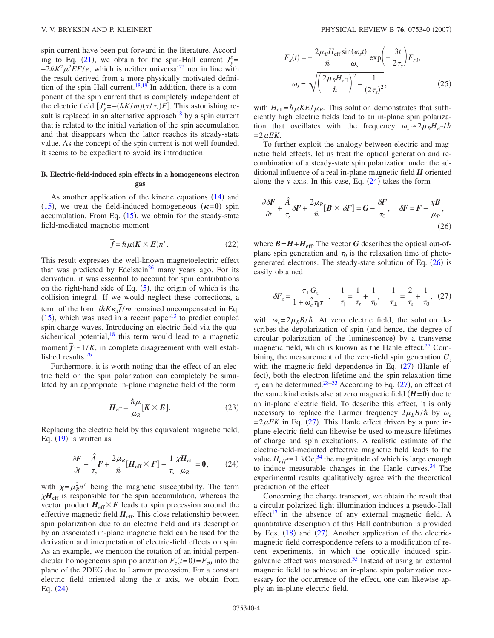spin current have been put forward in the literature. Accord-ing to Eq. ([21](#page-2-2)), we obtain for the spin-Hall current  $J_y^z =$  $-2\hbar K^2 \mu^2 E$ *F*/*e*, which is neither universal<sup>25</sup> nor in line with the result derived from a more physically motivated defini-tion of the spin-Hall current.<sup>18[,19](#page-4-12)</sup> In addition, there is a component of the spin current that is completely independent of the electric field  $[J_y^x = -(hK/m)(\tau/\tau_s)F$ . This astonishing result is replaced in an alternative approach<sup>18</sup> by a spin current that is related to the initial variation of the spin accumulation and that disappears when the latter reaches its steady-state value. As the concept of the spin current is not well founded, it seems to be expedient to avoid its introduction.

# **B. Electric-field-induced spin effects in a homogeneous electron gas**

As another application of the kinetic equations  $(14)$  $(14)$  $(14)$  and ([15](#page-2-0)), we treat the field-induced homogeneous  $(\kappa=0)$  spin accumulation. From Eq.  $(15)$  $(15)$  $(15)$ , we obtain for the steady-state field-mediated magnetic moment

$$
\overline{f} = \hbar \,\mu (K \times E) n'.
$$
 (22)

This result expresses the well-known magnetoelectric effect that was predicted by Edelstein<sup>26</sup> many years ago. For its derivation, it was essential to account for spin contributions on the right-hand side of Eq.  $(5)$  $(5)$  $(5)$ , the origin of which is the collision integral. If we would neglect these corrections, a term of the form  $i\hbar K_{\kappa x} \bar{f}/m$  remained uncompensated in Eq.  $(15)$  $(15)$  $(15)$ , which was used in a recent paper<sup>13</sup> to predict coupled spin-charge waves. Introducing an electric field via the quasichemical potential, $18$  this term would lead to a magnetic moment  $\vec{f} \sim 1/K$ , in complete disagreement with well established results.<sup>26</sup>

Furthermore, it is worth noting that the effect of an electric field on the spin polarization can completely be simulated by an appropriate in-plane magnetic field of the form

$$
H_{\text{eff}} = \frac{\hbar \mu}{\mu_B} [K \times E]. \tag{23}
$$

<span id="page-3-0"></span>Replacing the electric field by this equivalent magnetic field, Eq.  $(19)$  $(19)$  $(19)$  is written as

$$
\frac{\partial F}{\partial t} + \frac{\hat{A}}{\tau_s} F + \frac{2\mu_B}{\hbar} [H_{\rm eff} \times F] - \frac{1}{\tau_s} \frac{\chi H_{\rm eff}}{\mu_B} = 0, \qquad (24)
$$

with  $\chi = \mu_B^2 n'$  being the magnetic susceptibility. The term  $\chi H_{\text{eff}}$  is responsible for the spin accumulation, whereas the vector product  $H_{\text{eff}} \times F$  leads to spin precession around the effective magnetic field  $H_{\text{eff}}$ . This close relationship between spin polarization due to an electric field and its description by an associated in-plane magnetic field can be used for the derivation and interpretation of electric-field effects on spin. As an example, we mention the rotation of an initial perpendicular homogeneous spin polarization  $F_z(t=0) = F_{z0}$  into the plane of the 2DEG due to Larmor precession. For a constant electric field oriented along the *x* axis, we obtain from Eq.  $(24)$  $(24)$  $(24)$ 

$$
F_x(t) = -\frac{2\mu_B H_{\text{eff}}}{\hbar} \frac{\sin(\omega_s t)}{\omega_s} \exp\left(-\frac{3t}{2\tau_s}\right) F_{z0},
$$

$$
\omega_s = \sqrt{\left(\frac{2\mu_B H_{\text{eff}}}{\hbar}\right)^2 - \frac{1}{(2\tau_s)^2}},
$$
(25)

with  $H_{\text{eff}} = \hbar \mu K E / \mu_B$ . This solution demonstrates that sufficiently high electric fields lead to an in-plane spin polarization that oscillates with the frequency  $\omega_s \approx 2\mu_B H_{\text{eff}}/\hbar$  $= 2 \mu E K$ .

To further exploit the analogy between electric and magnetic field effects, let us treat the optical generation and recombination of a steady-state spin polarization under the additional influence of a real in-plane magnetic field *H* oriented along the  $y$  axis. In this case, Eq.  $(24)$  $(24)$  $(24)$  takes the form

<span id="page-3-1"></span>
$$
\frac{\partial \delta F}{\partial t} + \frac{\hat{A}}{\tau_s} \delta F + \frac{2\mu_B}{\hbar} [B \times \delta F] = G - \frac{\delta F}{\tau_0}, \quad \delta F = F - \frac{\chi B}{\mu_B},
$$
\n(26)

where  $B = H + H_{\text{eff}}$ . The vector *G* describes the optical out-ofplane spin generation and  $\tau_0$  is the relaxation time of photogenerated electrons. The steady-state solution of Eq.  $(26)$  $(26)$  $(26)$  is easily obtained

<span id="page-3-2"></span>
$$
\delta F_z = \frac{\tau_\perp G_z}{1 + \omega_c^2 \tau_\parallel \tau_\perp}, \quad \frac{1}{\tau_\parallel} = \frac{1}{\tau_s} + \frac{1}{\tau_0}, \quad \frac{1}{\tau_\perp} = \frac{2}{\tau_s} + \frac{1}{\tau_0}, \quad (27)
$$

with  $\omega_c = 2\mu_B B/\hbar$ . At zero electric field, the solution describes the depolarization of spin (and hence, the degree of circular polarization of the luminescence) by a transverse magnetic field, which is known as the Hanle effect. $27$  Combining the measurement of the zero-field spin generation  $G<sub>z</sub>$ with the magnetic-field dependence in Eq.  $(27)$  $(27)$  $(27)$  (Hanle effect), both the electron lifetime and the spin-relaxation time  $\tau_s$  can be determined.<sup>28–[33](#page-5-0)</sup> According to Eq. ([27](#page-3-2)), an effect of the same kind exists also at zero magnetic field  $(H=0)$  due to an in-plane electric field. To describe this effect, it is only necessary to replace the Larmor frequency  $2\mu_B B/\hbar$  by  $\omega_c$  $= 2\mu E K$  in Eq. ([27](#page-3-2)). This Hanle effect driven by a pure inplane electric field can likewise be used to measure lifetimes of charge and spin excitations. A realistic estimate of the electric-field-mediated effective magnetic field leads to the value  $H_{eff} \approx 1 \text{ kOe}^{34}$  the magnitude of which is large enough to induce measurable changes in the Hanle curves.<sup>34</sup> The experimental results qualitatively agree with the theoretical prediction of the effect.

Concerning the charge transport, we obtain the result that a circular polarized light illumination induces a pseudo-Hall effect<sup>17</sup> in the absence of any external magnetic field. A quantitative description of this Hall contribution is provided by Eqs.  $(18)$  $(18)$  $(18)$  and  $(27)$  $(27)$  $(27)$ . Another application of the electricmagnetic field correspondence refers to a modification of recent experiments, in which the optically induced spingalvanic effect was measured.<sup>35</sup> Instead of using an external magnetic field to achieve an in-plane spin polarization necessary for the occurrence of the effect, one can likewise apply an in-plane electric field.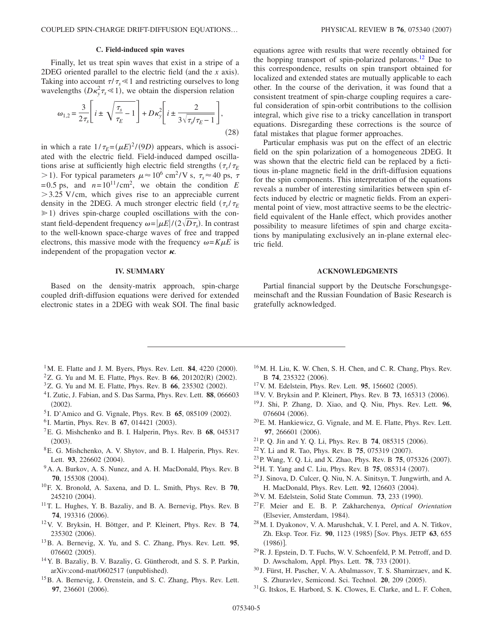#### **C. Field-induced spin waves**

Finally, let us treat spin waves that exist in a stripe of a 2DEG oriented parallel to the electric field (and the  $x$  axis). Taking into account  $\tau/\tau_s \ll 1$  and restricting ourselves to long wavelengths  $(D\kappa_y^2 \tau_s \! \ll \! 1)$ , we obtain the dispersion relation

$$
\omega_{1,2} = \frac{3}{2\tau_s} \left[ i \pm \sqrt{\frac{\tau_s}{\tau_E} - 1} \right] + D\kappa_y^2 \left[ i \pm \frac{2}{3\sqrt{\tau_s/\tau_E - 1}} \right],
$$
\n(28)

in which a rate  $1/\tau_E = (\mu E)^2/(9D)$  appears, which is associated with the electric field. Field-induced damped oscillations arise at sufficiently high electric field strengths  $(\tau_s/\tau_F)$  $>$ 1). For typical parameters  $\mu \approx 10^6$  cm<sup>2</sup>/V s,  $\tau_s \approx 40$  ps,  $\tau$  $= 0.5$  ps, and  $n = 10^{11}/\text{cm}^2$ , we obtain the condition *E*  3.25 V/cm, which gives rise to an appreciable current density in the 2DEG. A much stronger electric field  $(\tau_s/\tau_E)$  $\geq 1$ ) drives spin-charge coupled oscillations with the constant field-dependent frequency  $\omega = |\mu E|/(2\sqrt{D\tau_s})$ . In contrast to the well-known space-charge waves of free and trapped electrons, this massive mode with the frequency  $\omega = K \mu E$  is independent of the propagation vector  $\kappa$ .

#### **IV. SUMMARY**

Based on the density-matrix approach, spin-charge coupled drift-diffusion equations were derived for extended electronic states in a 2DEG with weak SOI. The final basic equations agree with results that were recently obtained for the hopping transport of spin-polarized polarons.<sup>12</sup> Due to this correspondence, results on spin transport obtained for localized and extended states are mutually applicable to each other. In the course of the derivation, it was found that a consistent treatment of spin-charge coupling requires a careful consideration of spin-orbit contributions to the collision integral, which give rise to a tricky cancellation in transport equations. Disregarding these corrections is the source of fatal mistakes that plague former approaches.

Particular emphasis was put on the effect of an electric field on the spin polarization of a homogeneous 2DEG. It was shown that the electric field can be replaced by a fictitious in-plane magnetic field in the drift-diffusion equations for the spin components. This interpretation of the equations reveals a number of interesting similarities between spin effects induced by electric or magnetic fields. From an experimental point of view, most attractive seems to be the electricfield equivalent of the Hanle effect, which provides another possibility to measure lifetimes of spin and charge excitations by manipulating exclusively an in-plane external electric field.

# **ACKNOWLEDGMENTS**

Partial financial support by the Deutsche Forschungsgemeinschaft and the Russian Foundation of Basic Research is gratefully acknowledged.

- <span id="page-4-0"></span><sup>1</sup>M. E. Flatte and J. M. Byers, Phys. Rev. Lett. **84**, 4220 (2000).
- $2$ Z. G. Yu and M. E. Flatte, Phys. Rev. B 66, 201202(R) (2002).
- <sup>3</sup>Z. G. Yu and M. E. Flatte, Phys. Rev. B **66**, 235302 (2002).
- <sup>4</sup> I. Zutic, J. Fabian, and S. Das Sarma, Phys. Rev. Lett. **88**, 066603  $(2002).$
- <sup>5</sup> I. D'Amico and G. Vignale, Phys. Rev. B **65**, 085109 (2002).
- <span id="page-4-1"></span><sup>6</sup>I. Martin, Phys. Rev. B **67**, 014421 (2003).
- <span id="page-4-2"></span>7E. G. Mishchenko and B. I. Halperin, Phys. Rev. B **68**, 045317  $(2003).$
- <span id="page-4-5"></span>8E. G. Mishchenko, A. V. Shytov, and B. I. Halperin, Phys. Rev. Lett. 93, 226602 (2004).
- <sup>9</sup>A. A. Burkov, A. S. Nunez, and A. H. MacDonald, Phys. Rev. B 70, 155308 (2004).
- 10F. X. Bronold, A. Saxena, and D. L. Smith, Phys. Rev. B **70**, 245210 (2004).
- <span id="page-4-3"></span>11T. L. Hughes, Y. B. Bazaliy, and B. A. Bernevig, Phys. Rev. B 74, 193316 (2006).
- <span id="page-4-4"></span>12V. V. Bryksin, H. Böttger, and P. Kleinert, Phys. Rev. B **74**, 235302 (2006).
- <span id="page-4-6"></span>13B. A. Bernevig, X. Yu, and S. C. Zhang, Phys. Rev. Lett. **95**, 076602 (2005).
- $14$ Y. B. Bazaliy, B. V. Bazaliy, G. Güntherodt, and S. S. P. Parkin, arXiv:cond-mat/0602517 (unpublished).
- 15B. A. Bernevig, J. Orenstein, and S. C. Zhang, Phys. Rev. Lett. 97, 236601 (2006).
- <span id="page-4-7"></span>16M. H. Liu, K. W. Chen, S. H. Chen, and C. R. Chang, Phys. Rev. B 74, 235322 (2006).
- <span id="page-4-8"></span><sup>17</sup> V. M. Edelstein, Phys. Rev. Lett. **95**, 156602 (2005).
- <span id="page-4-9"></span><sup>18</sup> V. V. Bryksin and P. Kleinert, Phys. Rev. B **73**, 165313 (2006).
- <span id="page-4-12"></span><sup>19</sup> J. Shi, P. Zhang, D. Xiao, and Q. Niu, Phys. Rev. Lett. **96**, 076604 (2006).
- $^{20}$ E. M. Hankiewicz, G. Vignale, and M. E. Flatte, Phys. Rev. Lett. 97, 266601 (2006).
- $2^{1}$  P. Q. Jin and Y. Q. Li, Phys. Rev. B **74**, 085315 (2006).
- $22$  Y. Li and R. Tao, Phys. Rev. B **75**, 075319 (2007).
- <sup>23</sup> P. Wang, Y. Q. Li, and X. Zhao, Phys. Rev. B **75**, 075326 (2007).
- <span id="page-4-10"></span><sup>24</sup> H. T. Yang and C. Liu, Phys. Rev. B **75**, 085314 (2007).
- <span id="page-4-11"></span> $^{25}$  J. Sinova, D. Culcer, Q. Niu, N. A. Sinitsyn, T. Jungwirth, and A. H. MacDonald, Phys. Rev. Lett. 92, 126603 (2004).
- <span id="page-4-13"></span><sup>26</sup> V. M. Edelstein, Solid State Commun. **73**, 233 (1990).
- <span id="page-4-14"></span>27F. Meier and E. B. P. Zakharchenya, *Optical Orientation* (Elsevier, Amsterdam, 1984).
- <span id="page-4-15"></span>28M. I. Dyakonov, V. A. Marushchak, V. I. Perel, and A. N. Titkov, Zh. Eksp. Teor. Fiz. 90, 1123 (1985) [Sov. Phys. JETP 63, 655  $(1986)$ ].
- 29R. J. Epstein, D. T. Fuchs, W. V. Schoenfeld, P. M. Petroff, and D. D. Awschalom, Appl. Phys. Lett. **78**, 733 (2001).
- <sup>30</sup> J. Fürst, H. Pascher, V. A. Abalmassov, T. S. Shamirzaev, and K. S. Zhuravlev, Semicond. Sci. Technol. **20**, 209 (2005).
- 31G. Itskos, E. Harbord, S. K. Clowes, E. Clarke, and L. F. Cohen,